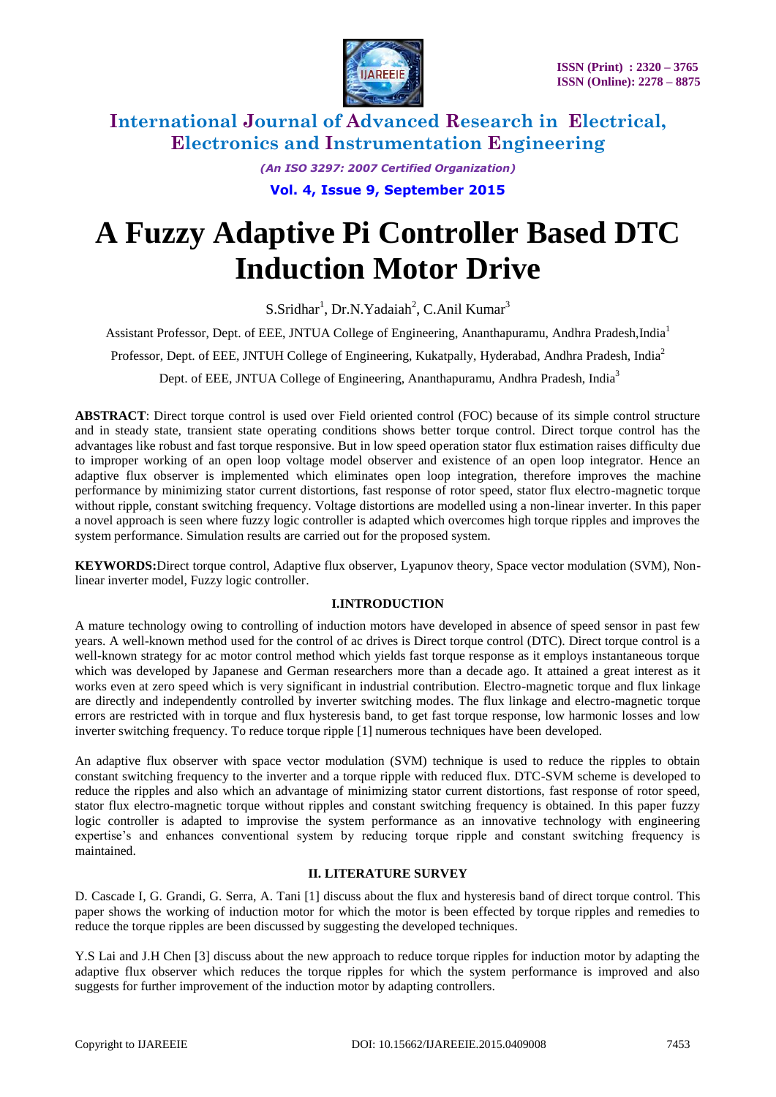

*(An ISO 3297: 2007 Certified Organization)* **Vol. 4, Issue 9, September 2015**

# **A Fuzzy Adaptive Pi Controller Based DTC Induction Motor Drive**

S.Sridhar<sup>1</sup>, Dr.N.Yadaiah<sup>2</sup>, C.Anil Kumar<sup>3</sup>

Assistant Professor, Dept. of EEE, JNTUA College of Engineering, Ananthapuramu, Andhra Pradesh,India<sup>1</sup>

Professor, Dept. of EEE, JNTUH College of Engineering, Kukatpally, Hyderabad, Andhra Pradesh, India<sup>2</sup>

Dept. of EEE, JNTUA College of Engineering, Ananthapuramu, Andhra Pradesh, India<sup>3</sup>

**ABSTRACT**: Direct torque control is used over Field oriented control (FOC) because of its simple control structure and in steady state, transient state operating conditions shows better torque control. Direct torque control has the advantages like robust and fast torque responsive. But in low speed operation stator flux estimation raises difficulty due to improper working of an open loop voltage model observer and existence of an open loop integrator. Hence an adaptive flux observer is implemented which eliminates open loop integration, therefore improves the machine performance by minimizing stator current distortions, fast response of rotor speed, stator flux electro-magnetic torque without ripple, constant switching frequency. Voltage distortions are modelled using a non-linear inverter. In this paper a novel approach is seen where fuzzy logic controller is adapted which overcomes high torque ripples and improves the system performance. Simulation results are carried out for the proposed system.

**KEYWORDS:**Direct torque control, Adaptive flux observer, Lyapunov theory, Space vector modulation (SVM), Nonlinear inverter model, Fuzzy logic controller.

#### **I.INTRODUCTION**

A mature technology owing to controlling of induction motors have developed in absence of speed sensor in past few years. A well-known method used for the control of ac drives is Direct torque control (DTC). Direct torque control is a well-known strategy for ac motor control method which yields fast torque response as it employs instantaneous torque which was developed by Japanese and German researchers more than a decade ago. It attained a great interest as it works even at zero speed which is very significant in industrial contribution. Electro-magnetic torque and flux linkage are directly and independently controlled by inverter switching modes. The flux linkage and electro-magnetic torque errors are restricted with in torque and flux hysteresis band, to get fast torque response, low harmonic losses and low inverter switching frequency. To reduce torque ripple [1] numerous techniques have been developed.

An adaptive flux observer with space vector modulation (SVM) technique is used to reduce the ripples to obtain constant switching frequency to the inverter and a torque ripple with reduced flux. DTC-SVM scheme is developed to reduce the ripples and also which an advantage of minimizing stator current distortions, fast response of rotor speed, stator flux electro-magnetic torque without ripples and constant switching frequency is obtained. In this paper fuzzy logic controller is adapted to improvise the system performance as an innovative technology with engineering expertise's and enhances conventional system by reducing torque ripple and constant switching frequency is maintained.

#### **II. LITERATURE SURVEY**

D. Cascade I, G. Grandi, G. Serra, A. Tani [1] discuss about the flux and hysteresis band of direct torque control. This paper shows the working of induction motor for which the motor is been effected by torque ripples and remedies to reduce the torque ripples are been discussed by suggesting the developed techniques.

Y.S Lai and J.H Chen [3] discuss about the new approach to reduce torque ripples for induction motor by adapting the adaptive flux observer which reduces the torque ripples for which the system performance is improved and also suggests for further improvement of the induction motor by adapting controllers.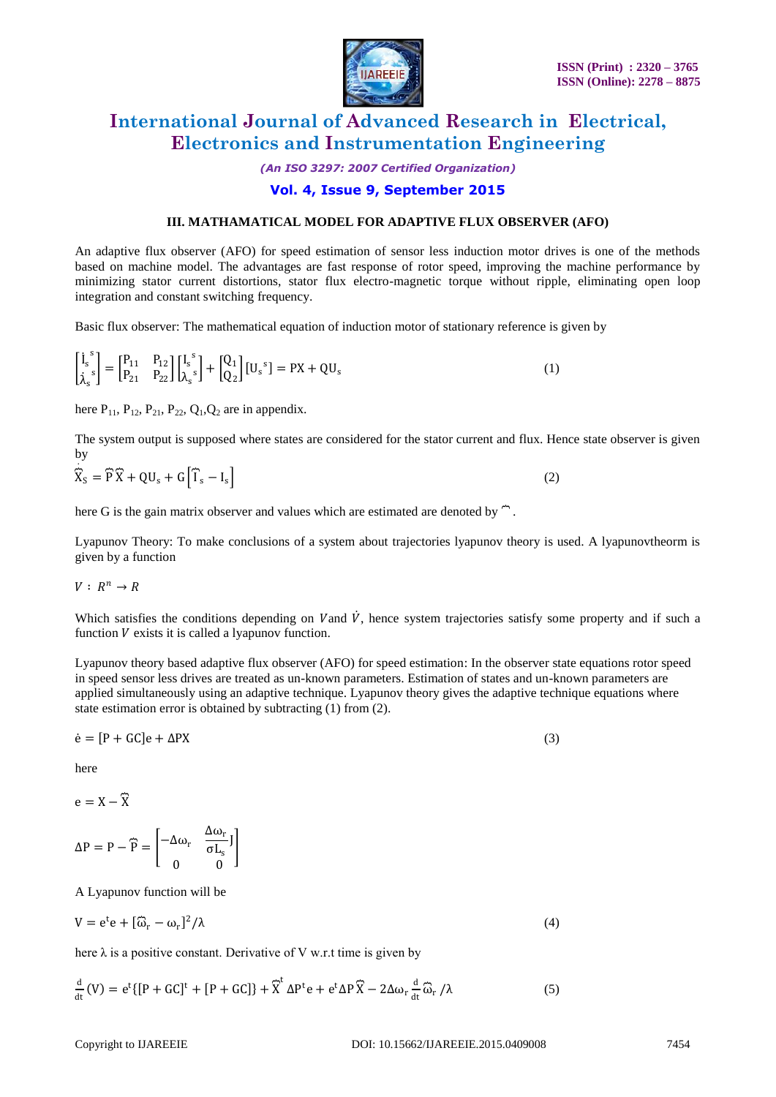

*(An ISO 3297: 2007 Certified Organization)*

### **Vol. 4, Issue 9, September 2015**

#### **III. MATHAMATICAL MODEL FOR ADAPTIVE FLUX OBSERVER (AFO)**

An adaptive flux observer (AFO) for speed estimation of sensor less induction motor drives is one of the methods based on machine model. The advantages are fast response of rotor speed, improving the machine performance by minimizing stator current distortions, stator flux electro-magnetic torque without ripple, eliminating open loop integration and constant switching frequency.

Basic flux observer: The mathematical equation of induction motor of stationary reference is given by

$$
\begin{bmatrix} \dot{I}_s^s \\ \dot{\lambda}_s^s \end{bmatrix} = \begin{bmatrix} P_{11} & P_{12} \\ P_{21} & P_{22} \end{bmatrix} \begin{bmatrix} I_s^s \\ \lambda_s^s \end{bmatrix} + \begin{bmatrix} Q_1 \\ Q_2 \end{bmatrix} [U_s^s] = PX + QU_s
$$
\n(1)

here  $P_{11}$ ,  $P_{12}$ ,  $P_{21}$ ,  $P_{22}$ ,  $Q_1$ ,  $Q_2$  are in appendix.

The system output is supposed where states are considered for the stator current and flux. Hence state observer is given by .

 $\widehat{\mathbf{X}}$  $S_S = \overline{P}\overline{X} + QU_s + G\overline{1}S - I_s$  $\vert$  (2)

here G is the gain matrix observer and values which are estimated are denoted by  $\hat{ }$ .

Lyapunov Theory: To make conclusions of a system about trajectories lyapunov theory is used. A lyapunovtheorm is given by a function

$$
V: R^n \to R
$$

Which satisfies the conditions depending on Vand  $\dot{V}$ , hence system trajectories satisfy some property and if such a function  $V$  exists it is called a lyapunov function.

Lyapunov theory based adaptive flux observer (AFO) for speed estimation: In the observer state equations rotor speed in speed sensor less drives are treated as un-known parameters. Estimation of states and un-known parameters are applied simultaneously using an adaptive technique. Lyapunov theory gives the adaptive technique equations where state estimation error is obtained by subtracting (1) from (2).

$$
\dot{\mathbf{e}} = [\mathbf{P} + \mathbf{G}\mathbf{C}]\mathbf{e} + \Delta \mathbf{P}\mathbf{X} \tag{3}
$$

here

 $e = X - \widehat{X}$ 

$$
\Delta P = P - \widehat{P} = \begin{bmatrix} -\Delta \omega_r & \frac{\Delta \omega_r}{\sigma L_s} J \\ 0 & 0 \end{bmatrix}
$$

A Lyapunov function will be

$$
V = e^{t}e + [\widehat{\omega}_{r} - \omega_{r}]^{2}/\lambda
$$
 (4)

here  $\lambda$  is a positive constant. Derivative of V w.r.t time is given by

$$
\frac{d}{dt}(V) = e^{t} \{ [P + GC]^{t} + [P + GC] \} + \widetilde{X}^{t} \Delta P^{t} e + e^{t} \Delta P \widetilde{X} - 2\Delta \omega_{r} \frac{d}{dt} \widehat{\omega}_{r} / \lambda
$$
\n(5)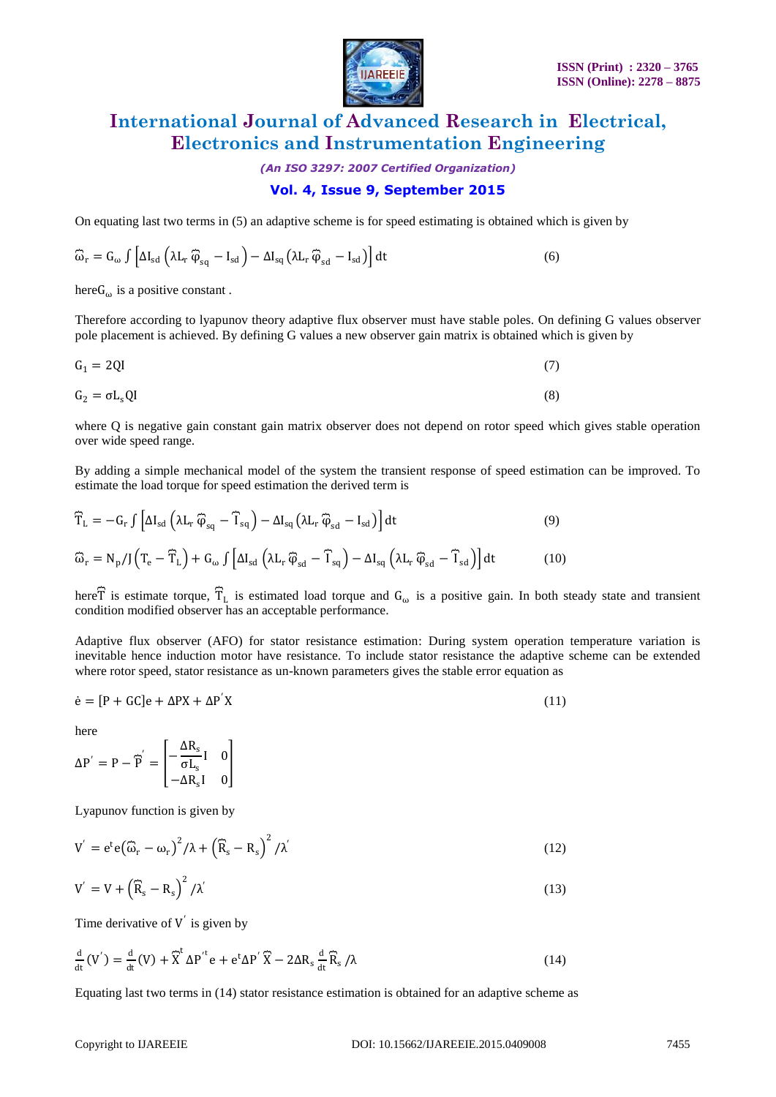

*(An ISO 3297: 2007 Certified Organization)*

### **Vol. 4, Issue 9, September 2015**

On equating last two terms in (5) an adaptive scheme is for speed estimating is obtained which is given by

$$
\widehat{\omega}_{r} = G_{\omega} \int \left[ \Delta I_{sd} \left( \lambda L_{r} \, \widehat{\phi}_{sq} - I_{sd} \right) - \Delta I_{sq} \left( \lambda L_{r} \, \widehat{\phi}_{sd} - I_{sd} \right) \right] dt \tag{6}
$$

here  $G_{\omega}$  is a positive constant.

Therefore according to lyapunov theory adaptive flux observer must have stable poles. On defining G values observer pole placement is achieved. By defining G values a new observer gain matrix is obtained which is given by

$$
G_1 = 2QI \tag{7}
$$

$$
G_2 = \sigma L_s QI \tag{8}
$$

where Q is negative gain constant gain matrix observer does not depend on rotor speed which gives stable operation over wide speed range.

By adding a simple mechanical model of the system the transient response of speed estimation can be improved. To estimate the load torque for speed estimation the derived term is

$$
\widehat{T}_{L} = -G_{r} \int \left[ \Delta I_{sd} \left( \lambda L_{r} \widehat{\varphi}_{sq} - \widehat{T}_{sq} \right) - \Delta I_{sq} \left( \lambda L_{r} \widehat{\varphi}_{sd} - I_{sd} \right) \right] dt
$$
\n(9)  
\n
$$
\widehat{\omega}_{r} = N_{p} / J \left( T_{e} - \widehat{T}_{L} \right) + G_{\omega} \int \left[ \Delta I_{sd} \left( \lambda L_{r} \widehat{\varphi}_{sd} - \widehat{T}_{sq} \right) - \Delta I_{sq} \left( \lambda L_{r} \widehat{\varphi}_{sd} - \widehat{T}_{sd} \right) \right] dt
$$
\n(10)

here  $\widehat{T}$  is estimate torque,  $\widehat{T}_L$  is estimated load torque and  $G_\omega$  is a positive gain. In both steady state and transient condition modified observer has an acceptable performance.

Adaptive flux observer (AFO) for stator resistance estimation: During system operation temperature variation is inevitable hence induction motor have resistance. To include stator resistance the adaptive scheme can be extended where rotor speed, stator resistance as un-known parameters gives the stable error equation as

$$
\dot{\mathbf{e}} = [\mathbf{P} + \mathbf{G}\mathbf{C}]\mathbf{e} + \Delta \mathbf{P} \mathbf{X} + \Delta \mathbf{P}^{\'} \mathbf{X} \tag{11}
$$

here

$$
\Delta P' = P - \widetilde{P}' = \begin{bmatrix} -\frac{\Delta R_s}{\sigma L_s} I & 0\\ -\Delta R_s I & 0 \end{bmatrix}
$$

Lyapunov function is given by

$$
V' = e^{t} e(\widehat{\omega}_{r} - \omega_{r})^{2} / \lambda + (\widehat{R}_{s} - R_{s})^{2} / \lambda'
$$
\n(12)

$$
V' = V + \left(\widehat{R}_s - R_s\right)^2 / \lambda' \tag{13}
$$

Time derivative of  $V'$  is given by

$$
\frac{d}{dt}(V') = \frac{d}{dt}(V) + \tilde{X}^{t} \Delta P'^{t} e + e^{t} \Delta P' \tilde{X} - 2\Delta R_{s} \frac{d}{dt} \tilde{R}_{s} / \lambda
$$
\n(14)

Equating last two terms in (14) stator resistance estimation is obtained for an adaptive scheme as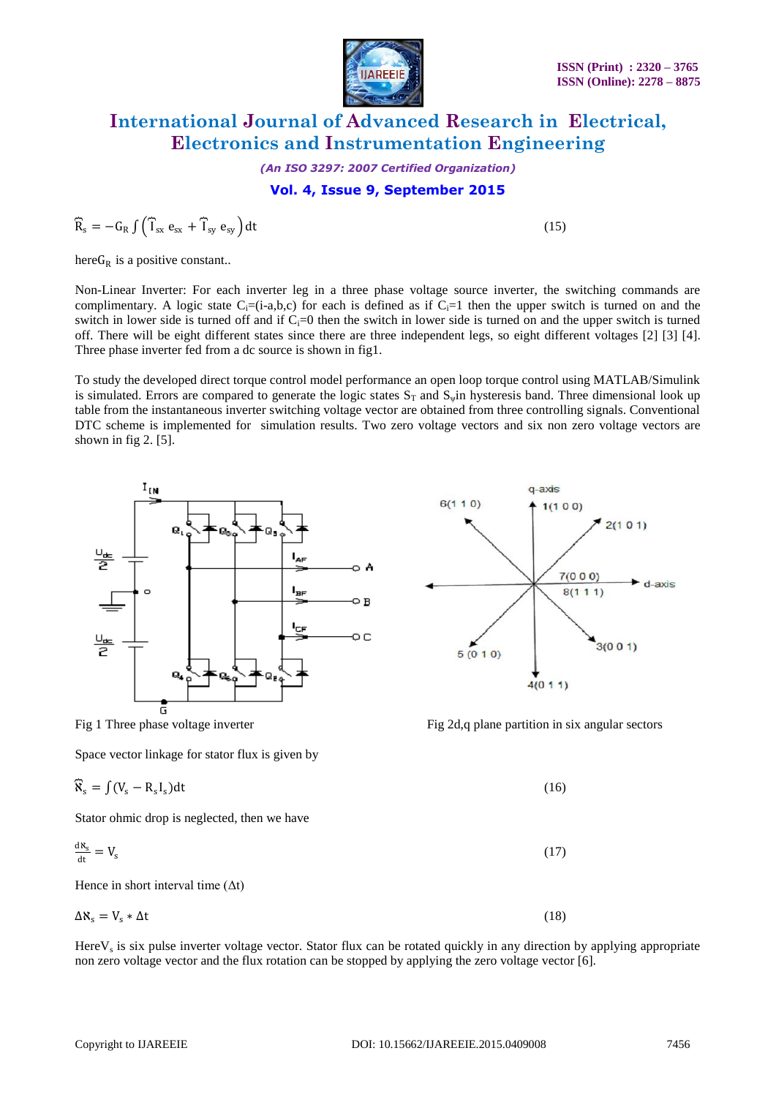

*(An ISO 3297: 2007 Certified Organization)*

#### **Vol. 4, Issue 9, September 2015**

$$
\widehat{R}_s = -G_R \int \left( \widehat{T}_{sx} e_{sx} + \widehat{T}_{sy} e_{sy} \right) dt \tag{15}
$$

here  $G_R$  is a positive constant..

Non-Linear Inverter: For each inverter leg in a three phase voltage source inverter, the switching commands are complimentary. A logic state  $C_i=(i-a,b,c)$  for each is defined as if  $C_i=1$  then the upper switch is turned on and the switch in lower side is turned off and if  $C_i=0$  then the switch in lower side is turned on and the upper switch is turned off. There will be eight different states since there are three independent legs, so eight different voltages [2] [3] [4]. Three phase inverter fed from a dc source is shown in fig1.

To study the developed direct torque control model performance an open loop torque control using MATLAB/Simulink is simulated. Errors are compared to generate the logic states  $S_T$  and  $S_{\psi}$ in hysteresis band. Three dimensional look up table from the instantaneous inverter switching voltage vector are obtained from three controlling signals. Conventional DTC scheme is implemented for simulation results. Two zero voltage vectors and six non zero voltage vectors are shown in fig 2. [5].



Space vector linkage for stator flux is given by

$$
\widehat{\mathbf{K}}_{\mathbf{s}} = \int (\mathbf{V}_{\mathbf{s}} - \mathbf{R}_{\mathbf{s}} \mathbf{I}_{\mathbf{s}}) \mathrm{d}t \tag{16}
$$

Stator ohmic drop is neglected, then we have

$$
\frac{dR_s}{dt} = V_s \tag{17}
$$

Hence in short interval time  $(\Delta t)$ 

$$
\Delta \mathbf{X}_s = \mathbf{V}_s * \Delta t \tag{18}
$$

Here $V_s$  is six pulse inverter voltage vector. Stator flux can be rotated quickly in any direction by applying appropriate non zero voltage vector and the flux rotation can be stopped by applying the zero voltage vector [6].



Fig 1 Three phase voltage inverter Fig 2d,q plane partition in six angular sectors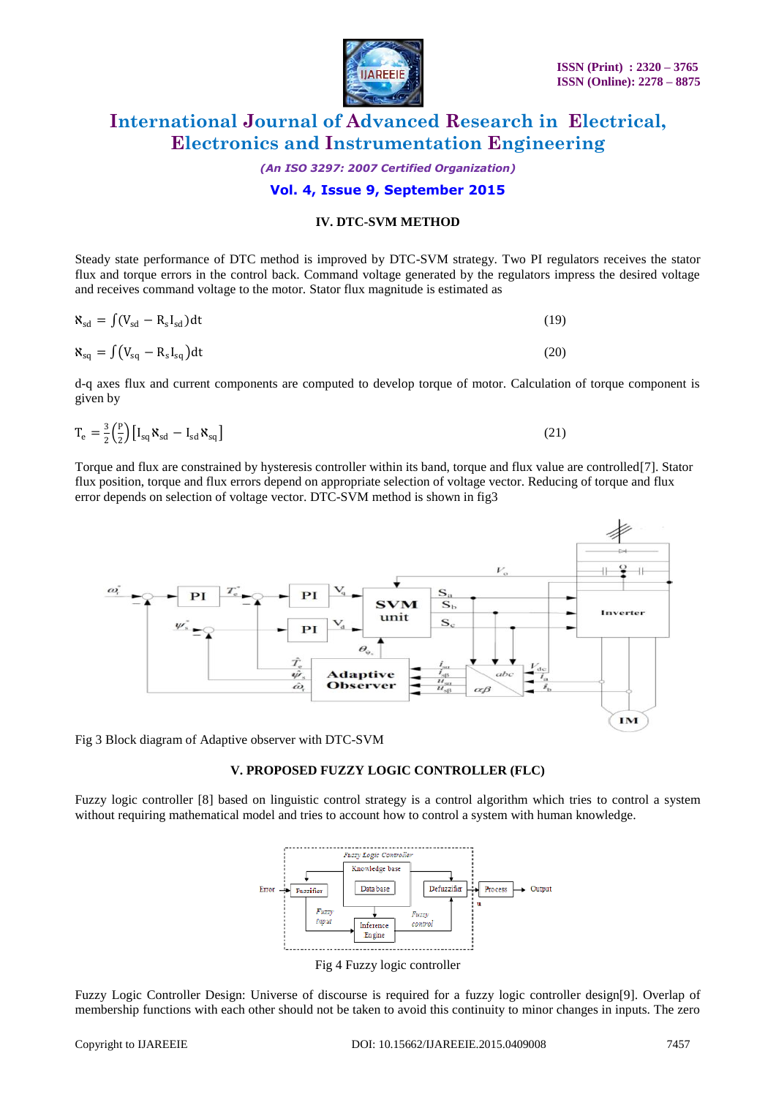

*(An ISO 3297: 2007 Certified Organization)*

#### **Vol. 4, Issue 9, September 2015**

#### **IV. DTC-SVM METHOD**

Steady state performance of DTC method is improved by DTC-SVM strategy. Two PI regulators receives the stator flux and torque errors in the control back. Command voltage generated by the regulators impress the desired voltage and receives command voltage to the motor. Stator flux magnitude is estimated as

| $\aleph_{\text{sd}} = \int (V_{\text{sd}} - R_{\text{s}} I_{\text{sd}}) dt$ | (19) |
|-----------------------------------------------------------------------------|------|
|                                                                             |      |

$$
\mathbf{X}_{\text{sq}} = \int (V_{\text{sq}} - R_{\text{s}} I_{\text{sq}}) dt
$$
 (20)

d-q axes flux and current components are computed to develop torque of motor. Calculation of torque component is given by

$$
T_e = \frac{3}{2} \left(\frac{P}{2}\right) \left[I_{sq} \mathbf{X}_{sd} - I_{sd} \mathbf{X}_{sq}\right]
$$
\n(21)

Torque and flux are constrained by hysteresis controller within its band, torque and flux value are controlled[7]. Stator flux position, torque and flux errors depend on appropriate selection of voltage vector. Reducing of torque and flux error depends on selection of voltage vector. DTC-SVM method is shown in fig3



Fig 3 Block diagram of Adaptive observer with DTC-SVM

#### **V. PROPOSED FUZZY LOGIC CONTROLLER (FLC)**

Fuzzy logic controller [8] based on linguistic control strategy is a control algorithm which tries to control a system without requiring mathematical model and tries to account how to control a system with human knowledge.



Fig 4 Fuzzy logic controller

Fuzzy Logic Controller Design: Universe of discourse is required for a fuzzy logic controller design[9]. Overlap of membership functions with each other should not be taken to avoid this continuity to minor changes in inputs. The zero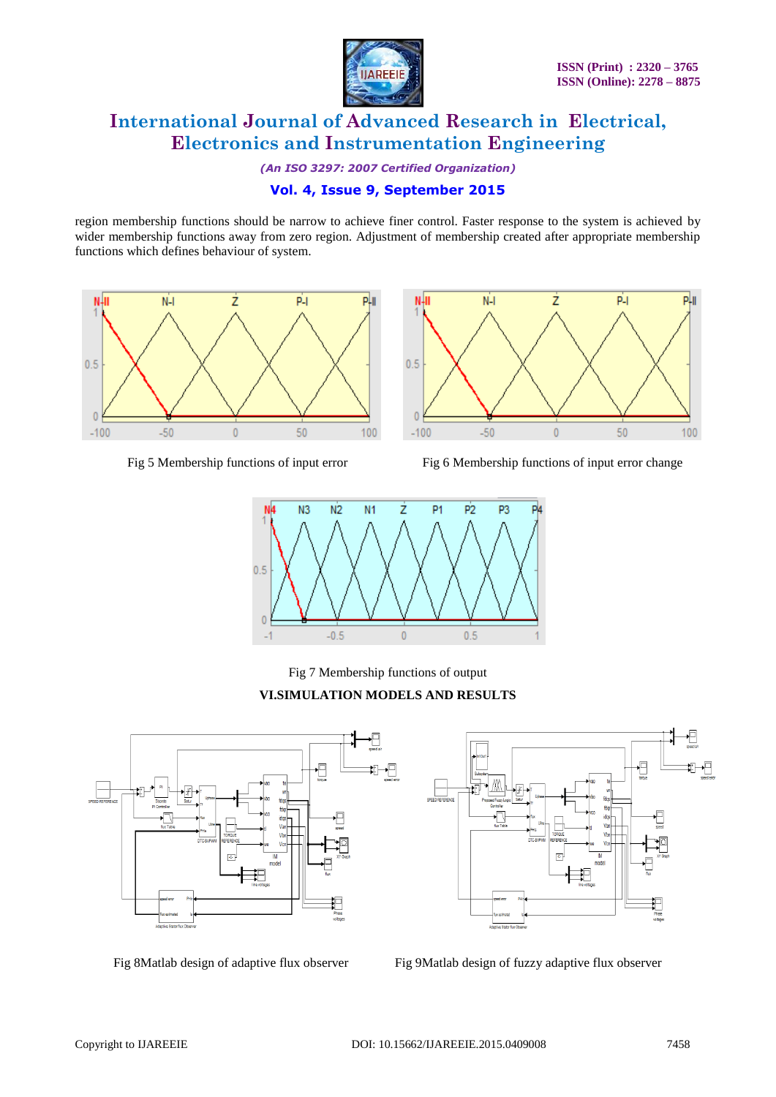

P-I

p.

# **International Journal of Advanced Research in Electrical, Electronics and Instrumentation Engineering**

*(An ISO 3297: 2007 Certified Organization)*

### **Vol. 4, Issue 9, September 2015**

region membership functions should be narrow to achieve finer control. Faster response to the system is achieved by wider membership functions away from zero region. Adjustment of membership created after appropriate membership functions which defines behaviour of system.

NШ

 $0.5$ 





ż

 $N-1$ 





Fig 7 Membership functions of output

#### **VI.SIMULATION MODELS AND RESULTS**





Fig 8Matlab design of adaptive flux observer Fig 9Matlab design of fuzzy adaptive flux observer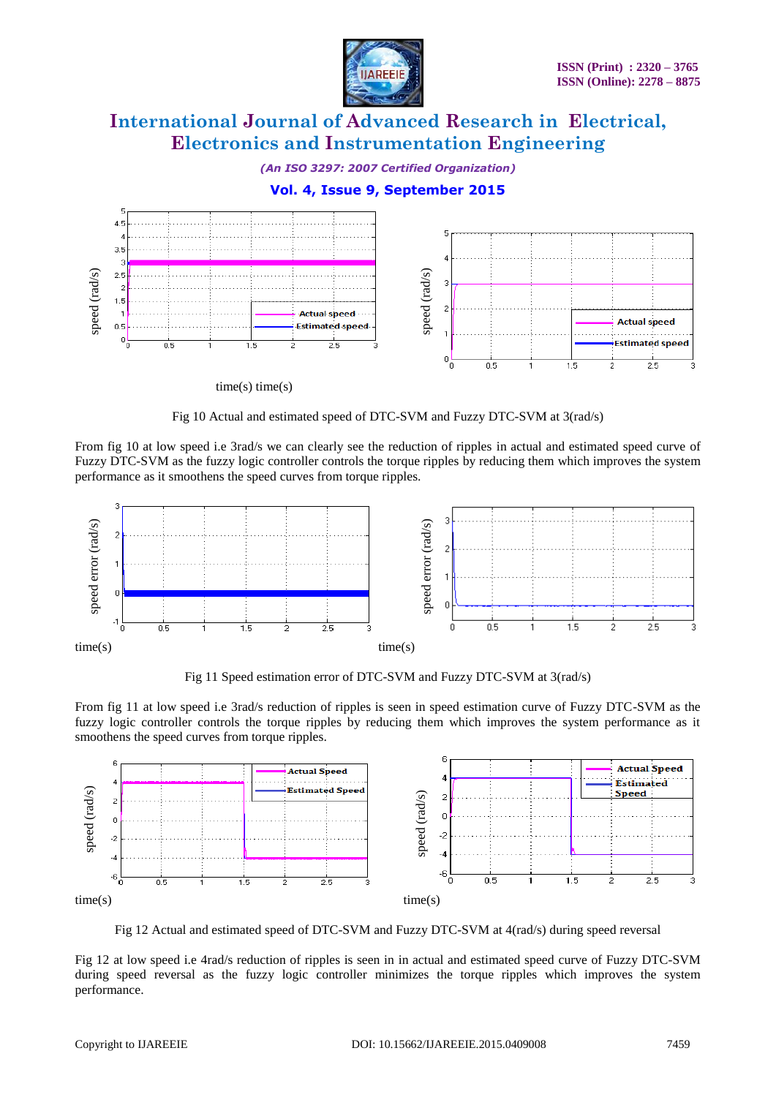

*(An ISO 3297: 2007 Certified Organization)*

### **Vol. 4, Issue 9, September 2015**



 $time(s)$  time $(s)$ 

Fig 10 Actual and estimated speed of DTC-SVM and Fuzzy DTC-SVM at 3(rad/s)

From fig 10 at low speed i.e 3rad/s we can clearly see the reduction of ripples in actual and estimated speed curve of Fuzzy DTC-SVM as the fuzzy logic controller controls the torque ripples by reducing them which improves the system performance as it smoothens the speed curves from torque ripples.



Fig 11 Speed estimation error of DTC-SVM and Fuzzy DTC-SVM at 3(rad/s)

From fig 11 at low speed i.e 3rad/s reduction of ripples is seen in speed estimation curve of Fuzzy DTC-SVM as the fuzzy logic controller controls the torque ripples by reducing them which improves the system performance as it smoothens the speed curves from torque ripples.



Fig 12 Actual and estimated speed of DTC-SVM and Fuzzy DTC-SVM at 4(rad/s) during speed reversal

Fig 12 at low speed i.e 4rad/s reduction of ripples is seen in in actual and estimated speed curve of Fuzzy DTC-SVM during speed reversal as the fuzzy logic controller minimizes the torque ripples which improves the system performance.